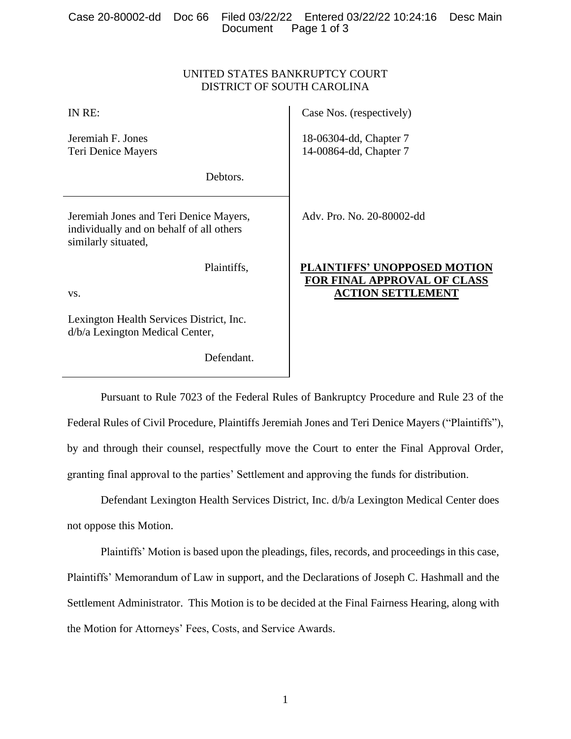|  |                      | Case 20-80002-dd Doc 66 Filed 03/22/22 Entered 03/22/22 10:24:16 Desc Main |  |
|--|----------------------|----------------------------------------------------------------------------|--|
|  | Document Page 1 of 3 |                                                                            |  |

# UNITED STATES BANKRUPTCY COURT DISTRICT OF SOUTH CAROLINA

| IN RE:                                                                                                    | Case Nos. (respectively)                                                  |
|-----------------------------------------------------------------------------------------------------------|---------------------------------------------------------------------------|
| Jeremiah F. Jones<br>Teri Denice Mayers                                                                   | 18-06304-dd, Chapter 7<br>14-00864-dd, Chapter 7                          |
| Debtors.                                                                                                  |                                                                           |
| Jeremiah Jones and Teri Denice Mayers,<br>individually and on behalf of all others<br>similarly situated, | Adv. Pro. No. 20-80002-dd                                                 |
| Plaintiffs,                                                                                               | <b>PLAINTIFFS' UNOPPOSED MOTION</b><br><b>FOR FINAL APPROVAL OF CLASS</b> |
| VS.                                                                                                       | <b>ACTION SETTLEMENT</b>                                                  |
| Lexington Health Services District, Inc.<br>d/b/a Lexington Medical Center,                               |                                                                           |
| Defendant.                                                                                                |                                                                           |

Pursuant to Rule 7023 of the Federal Rules of Bankruptcy Procedure and Rule 23 of the Federal Rules of Civil Procedure, Plaintiffs Jeremiah Jones and Teri Denice Mayers ("Plaintiffs"), by and through their counsel, respectfully move the Court to enter the Final Approval Order, granting final approval to the parties' Settlement and approving the funds for distribution.

Defendant Lexington Health Services District, Inc. d/b/a Lexington Medical Center does not oppose this Motion.

Plaintiffs' Motion is based upon the pleadings, files, records, and proceedings in this case, Plaintiffs' Memorandum of Law in support, and the Declarations of Joseph C. Hashmall and the Settlement Administrator. This Motion is to be decided at the Final Fairness Hearing, along with the Motion for Attorneys' Fees, Costs, and Service Awards.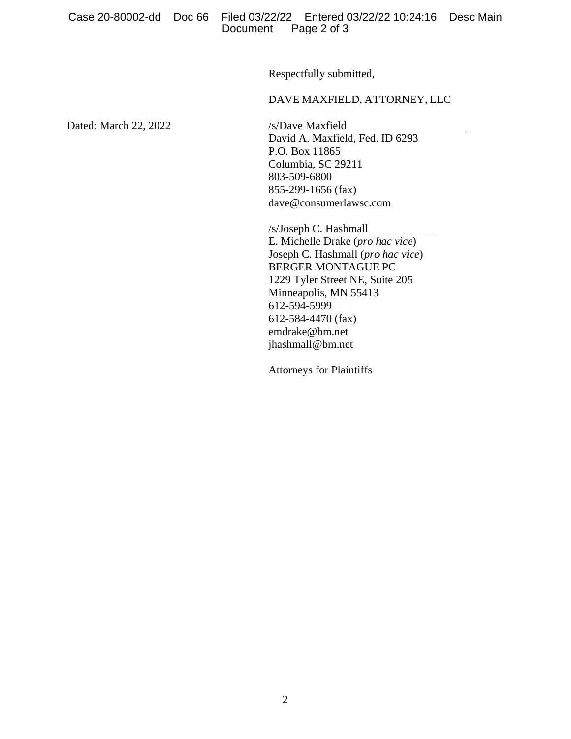Respectfully submitted,

## DAVE MAXFIELD, ATTORNEY, LLC

Dated: March 22, 2022 /s/Dave Maxfield

David A. Maxfield, Fed. ID 6293 P.O. Box 11865 Columbia, SC 29211 803-509-6800 855-299-1656 (fax) dave@consumerlawsc.com

/s/Joseph C. Hashmall E. Michelle Drake (*pro hac vice*) Joseph C. Hashmall (*pro hac vice*) BERGER MONTAGUE PC 1229 Tyler Street NE, Suite 205 Minneapolis, MN 55413 612-594-5999 612-584-4470 (fax) emdrake@bm.net jhashmall@bm.net

Attorneys for Plaintiffs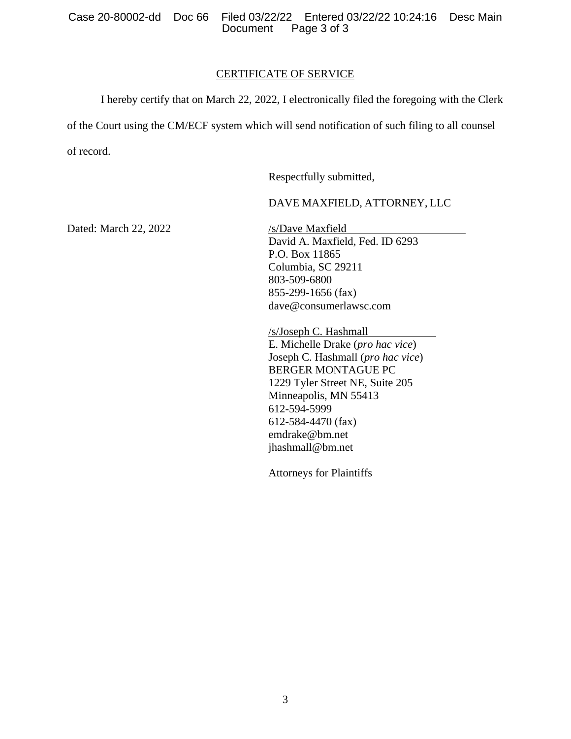Case 20-80002-dd Doc 66 Filed 03/22/22 Entered 03/22/22 10:24:16 Desc Main Page 3 of 3

## CERTIFICATE OF SERVICE

I hereby certify that on March 22, 2022, I electronically filed the foregoing with the Clerk

of the Court using the CM/ECF system which will send notification of such filing to all counsel of record.

Respectfully submitted,

# DAVE MAXFIELD, ATTORNEY, LLC

Dated: March 22, 2022 /s/Dave Maxfield

David A. Maxfield, Fed. ID 6293 P.O. Box 11865 Columbia, SC 29211 803-509-6800 855-299-1656 (fax) dave@consumerlawsc.com

/s/Joseph C. Hashmall E. Michelle Drake (*pro hac vice*) Joseph C. Hashmall (*pro hac vice*) BERGER MONTAGUE PC 1229 Tyler Street NE, Suite 205 Minneapolis, MN 55413 612-594-5999 612-584-4470 (fax) emdrake@bm.net jhashmall@bm.net

Attorneys for Plaintiffs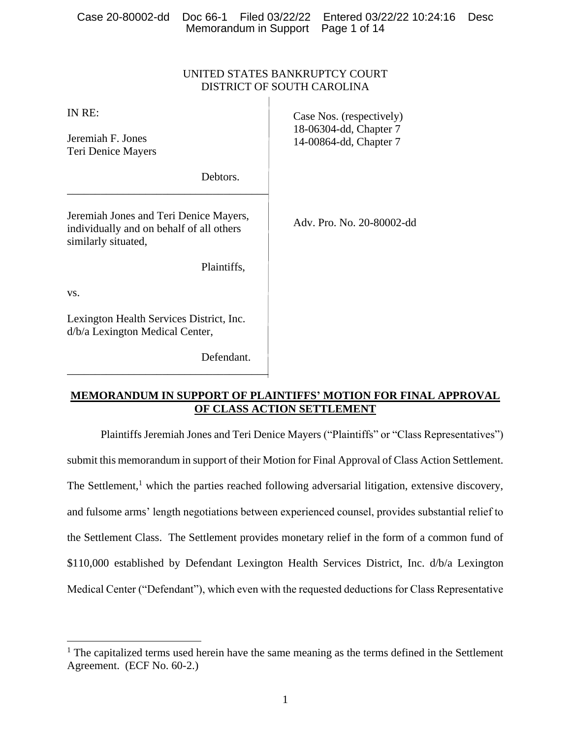| Case 20-80002-dd                                                                                          |             | Doc 66-1 Filed 03/22/22<br>Memorandum in Support | Entered 03/22/22 10:24:16<br>Page 1 of 14          | <b>Desc</b> |
|-----------------------------------------------------------------------------------------------------------|-------------|--------------------------------------------------|----------------------------------------------------|-------------|
|                                                                                                           |             |                                                  |                                                    |             |
|                                                                                                           |             | DISTRICT OF SOUTH CAROLINA                       | UNITED STATES BANKRUPTCY COURT                     |             |
| IN RE:                                                                                                    |             |                                                  | Case Nos. (respectively)<br>18-06304-dd, Chapter 7 |             |
| Jeremiah F. Jones<br>Teri Denice Mayers                                                                   |             |                                                  | 14-00864-dd, Chapter 7                             |             |
|                                                                                                           | Debtors.    |                                                  |                                                    |             |
| Jeremiah Jones and Teri Denice Mayers,<br>individually and on behalf of all others<br>similarly situated, |             |                                                  | Adv. Pro. No. 20-80002-dd                          |             |
|                                                                                                           | Plaintiffs, |                                                  |                                                    |             |
| VS.                                                                                                       |             |                                                  |                                                    |             |
| Lexington Health Services District, Inc.<br>d/b/a Lexington Medical Center,                               |             |                                                  |                                                    |             |

# **MEMORANDUM IN SUPPORT OF PLAINTIFFS' MOTION FOR FINAL APPROVAL OF CLASS ACTION SETTLEMENT**

Defendant.

\_\_\_\_\_\_\_\_\_\_\_\_\_\_\_\_\_\_\_\_\_\_\_\_\_\_\_\_\_\_\_\_\_\_\_\_

Plaintiffs Jeremiah Jones and Teri Denice Mayers ("Plaintiffs" or "Class Representatives") submit this memorandum in support of their Motion for Final Approval of Class Action Settlement. The Settlement,<sup>1</sup> which the parties reached following adversarial litigation, extensive discovery, and fulsome arms' length negotiations between experienced counsel, provides substantial relief to the Settlement Class. The Settlement provides monetary relief in the form of a common fund of \$110,000 established by Defendant Lexington Health Services District, Inc. d/b/a Lexington Medical Center ("Defendant"), which even with the requested deductions for Class Representative

<sup>&</sup>lt;sup>1</sup> The capitalized terms used herein have the same meaning as the terms defined in the Settlement Agreement. (ECF No. 60-2.)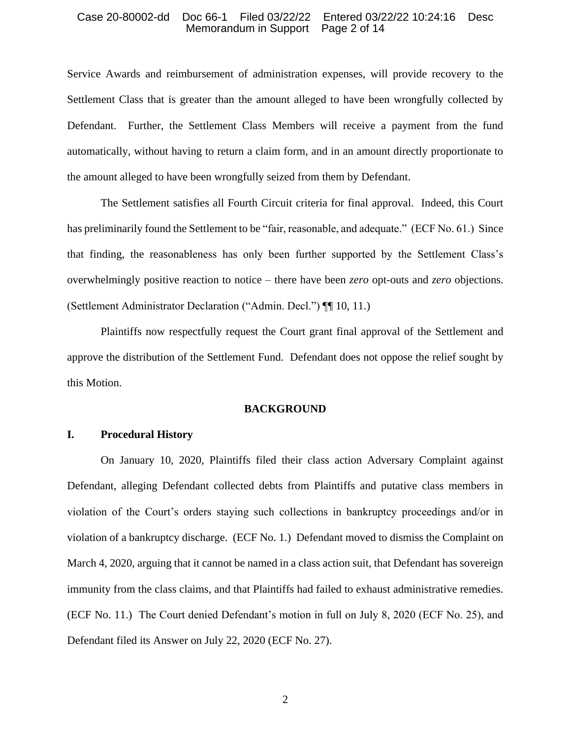Service Awards and reimbursement of administration expenses, will provide recovery to the Settlement Class that is greater than the amount alleged to have been wrongfully collected by Defendant. Further, the Settlement Class Members will receive a payment from the fund automatically, without having to return a claim form, and in an amount directly proportionate to the amount alleged to have been wrongfully seized from them by Defendant.

The Settlement satisfies all Fourth Circuit criteria for final approval. Indeed, this Court has preliminarily found the Settlement to be "fair, reasonable, and adequate." (ECF No. 61.) Since that finding, the reasonableness has only been further supported by the Settlement Class's overwhelmingly positive reaction to notice – there have been *zero* opt-outs and *zero* objections. (Settlement Administrator Declaration ("Admin. Decl.") ¶¶ 10, 11.)

Plaintiffs now respectfully request the Court grant final approval of the Settlement and approve the distribution of the Settlement Fund. Defendant does not oppose the relief sought by this Motion.

### **BACKGROUND**

## **I. Procedural History**

On January 10, 2020, Plaintiffs filed their class action Adversary Complaint against Defendant, alleging Defendant collected debts from Plaintiffs and putative class members in violation of the Court's orders staying such collections in bankruptcy proceedings and/or in violation of a bankruptcy discharge. (ECF No. 1.) Defendant moved to dismiss the Complaint on March 4, 2020, arguing that it cannot be named in a class action suit, that Defendant has sovereign immunity from the class claims, and that Plaintiffs had failed to exhaust administrative remedies. (ECF No. 11.) The Court denied Defendant's motion in full on July 8, 2020 (ECF No. 25), and Defendant filed its Answer on July 22, 2020 (ECF No. 27).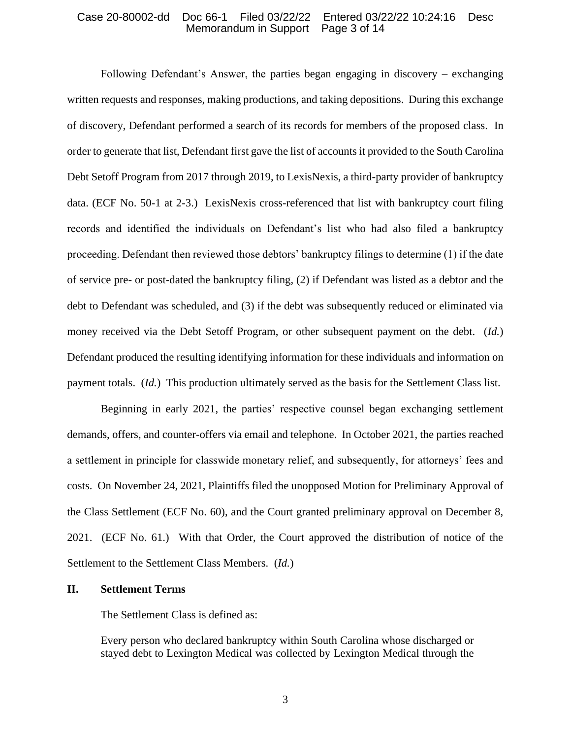Following Defendant's Answer, the parties began engaging in discovery – exchanging written requests and responses, making productions, and taking depositions. During this exchange of discovery, Defendant performed a search of its records for members of the proposed class. In order to generate that list, Defendant first gave the list of accounts it provided to the South Carolina Debt Setoff Program from 2017 through 2019, to LexisNexis, a third-party provider of bankruptcy data. (ECF No. 50-1 at 2-3.) LexisNexis cross-referenced that list with bankruptcy court filing records and identified the individuals on Defendant's list who had also filed a bankruptcy proceeding. Defendant then reviewed those debtors' bankruptcy filings to determine (1) if the date of service pre- or post-dated the bankruptcy filing, (2) if Defendant was listed as a debtor and the debt to Defendant was scheduled, and (3) if the debt was subsequently reduced or eliminated via money received via the Debt Setoff Program, or other subsequent payment on the debt. (*Id.*) Defendant produced the resulting identifying information for these individuals and information on payment totals. (*Id.*) This production ultimately served as the basis for the Settlement Class list.

Beginning in early 2021, the parties' respective counsel began exchanging settlement demands, offers, and counter-offers via email and telephone. In October 2021, the parties reached a settlement in principle for classwide monetary relief, and subsequently, for attorneys' fees and costs. On November 24, 2021, Plaintiffs filed the unopposed Motion for Preliminary Approval of the Class Settlement (ECF No. 60), and the Court granted preliminary approval on December 8, 2021. (ECF No. 61.) With that Order, the Court approved the distribution of notice of the Settlement to the Settlement Class Members. (*Id.*)

### **II. Settlement Terms**

The Settlement Class is defined as:

Every person who declared bankruptcy within South Carolina whose discharged or stayed debt to Lexington Medical was collected by Lexington Medical through the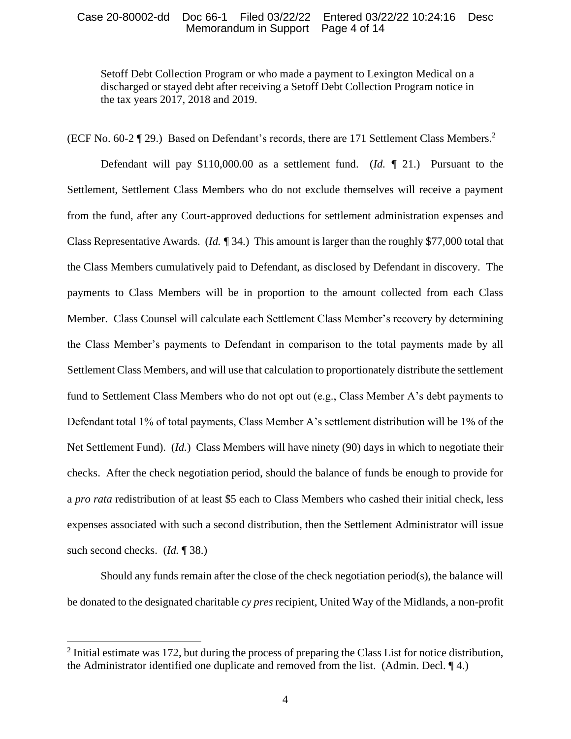Setoff Debt Collection Program or who made a payment to Lexington Medical on a discharged or stayed debt after receiving a Setoff Debt Collection Program notice in the tax years 2017, 2018 and 2019.

(ECF No. 60-2 ¶ 29.) Based on Defendant's records, there are 171 Settlement Class Members.<sup>2</sup>

Defendant will pay \$110,000.00 as a settlement fund. (*Id. ¶* 21.) Pursuant to the Settlement, Settlement Class Members who do not exclude themselves will receive a payment from the fund, after any Court-approved deductions for settlement administration expenses and Class Representative Awards. (*Id. ¶* 34.) This amount is larger than the roughly \$77,000 total that the Class Members cumulatively paid to Defendant, as disclosed by Defendant in discovery. The payments to Class Members will be in proportion to the amount collected from each Class Member. Class Counsel will calculate each Settlement Class Member's recovery by determining the Class Member's payments to Defendant in comparison to the total payments made by all Settlement Class Members, and will use that calculation to proportionately distribute the settlement fund to Settlement Class Members who do not opt out (e.g., Class Member A's debt payments to Defendant total 1% of total payments, Class Member A's settlement distribution will be 1% of the Net Settlement Fund). (*Id.*) Class Members will have ninety (90) days in which to negotiate their checks. After the check negotiation period, should the balance of funds be enough to provide for a *pro rata* redistribution of at least \$5 each to Class Members who cashed their initial check, less expenses associated with such a second distribution, then the Settlement Administrator will issue such second checks. (*Id.* ¶ 38.)

Should any funds remain after the close of the check negotiation period(s), the balance will be donated to the designated charitable *cy pres* recipient, United Way of the Midlands, a non-profit

 $2$  Initial estimate was 172, but during the process of preparing the Class List for notice distribution, the Administrator identified one duplicate and removed from the list. (Admin. Decl. ¶ 4.)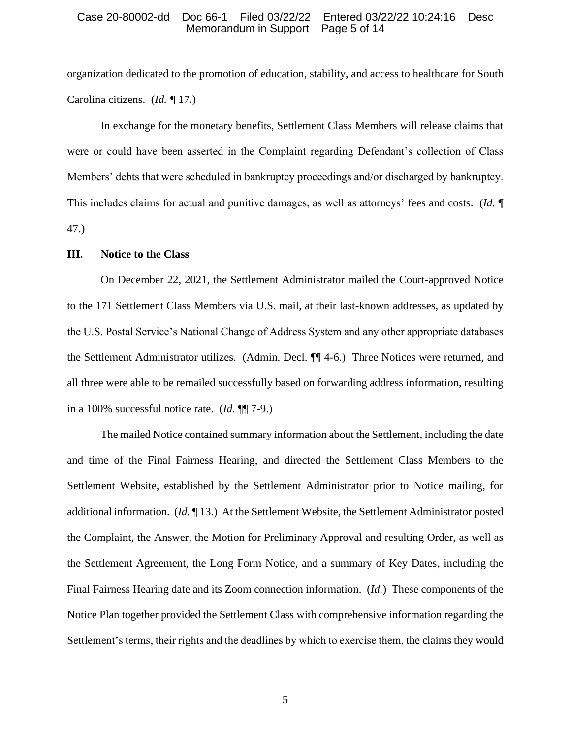organization dedicated to the promotion of education, stability, and access to healthcare for South Carolina citizens. (*Id. ¶* 17.)

In exchange for the monetary benefits, Settlement Class Members will release claims that were or could have been asserted in the Complaint regarding Defendant's collection of Class Members' debts that were scheduled in bankruptcy proceedings and/or discharged by bankruptcy. This includes claims for actual and punitive damages, as well as attorneys' fees and costs. (*Id.* ¶ 47.)

### **III. Notice to the Class**

On December 22, 2021, the Settlement Administrator mailed the Court-approved Notice to the 171 Settlement Class Members via U.S. mail, at their last-known addresses, as updated by the U.S. Postal Service's National Change of Address System and any other appropriate databases the Settlement Administrator utilizes. (Admin. Decl. ¶¶ 4-6.) Three Notices were returned, and all three were able to be remailed successfully based on forwarding address information, resulting in a 100% successful notice rate. (*Id.* ¶¶ 7-9.)

The mailed Notice contained summary information about the Settlement, including the date and time of the Final Fairness Hearing, and directed the Settlement Class Members to the Settlement Website, established by the Settlement Administrator prior to Notice mailing, for additional information. (*Id.* ¶ 13.) At the Settlement Website, the Settlement Administrator posted the Complaint, the Answer, the Motion for Preliminary Approval and resulting Order, as well as the Settlement Agreement, the Long Form Notice, and a summary of Key Dates, including the Final Fairness Hearing date and its Zoom connection information. (*Id.*) These components of the Notice Plan together provided the Settlement Class with comprehensive information regarding the Settlement's terms, their rights and the deadlines by which to exercise them, the claims they would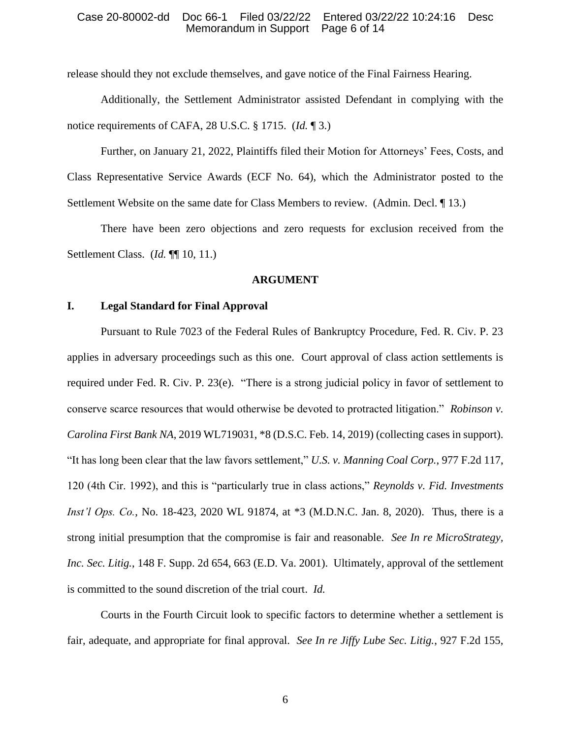release should they not exclude themselves, and gave notice of the Final Fairness Hearing.

Additionally, the Settlement Administrator assisted Defendant in complying with the notice requirements of CAFA, 28 U.S.C. § 1715. (*Id.* ¶ 3.)

Further, on January 21, 2022, Plaintiffs filed their Motion for Attorneys' Fees, Costs, and Class Representative Service Awards (ECF No. 64), which the Administrator posted to the Settlement Website on the same date for Class Members to review. (Admin. Decl. ¶ 13.)

There have been zero objections and zero requests for exclusion received from the Settlement Class. (*Id.* ¶¶ 10, 11.)

### **ARGUMENT**

### **I. Legal Standard for Final Approval**

Pursuant to Rule 7023 of the Federal Rules of Bankruptcy Procedure, Fed. R. Civ. P. 23 applies in adversary proceedings such as this one. Court approval of class action settlements is required under Fed. R. Civ. P. 23(e). "There is a strong judicial policy in favor of settlement to conserve scarce resources that would otherwise be devoted to protracted litigation." *Robinson v. Carolina First Bank NA*, 2019 WL719031, \*8 (D.S.C. Feb. 14, 2019) (collecting cases in support). "It has long been clear that the law favors settlement," *U.S. v. Manning Coal Corp.*, 977 F.2d 117, 120 (4th Cir. 1992), and this is "particularly true in class actions," *Reynolds v. Fid. Investments Inst'l Ops. Co.*, No. 18-423, 2020 WL 91874, at \*3 (M.D.N.C. Jan. 8, 2020). Thus, there is a strong initial presumption that the compromise is fair and reasonable. *See In re MicroStrategy, Inc. Sec. Litig.*, 148 F. Supp. 2d 654, 663 (E.D. Va. 2001). Ultimately, approval of the settlement is committed to the sound discretion of the trial court. *Id.*

Courts in the Fourth Circuit look to specific factors to determine whether a settlement is fair, adequate, and appropriate for final approval. *See In re Jiffy Lube Sec. Litig.*, 927 F.2d 155,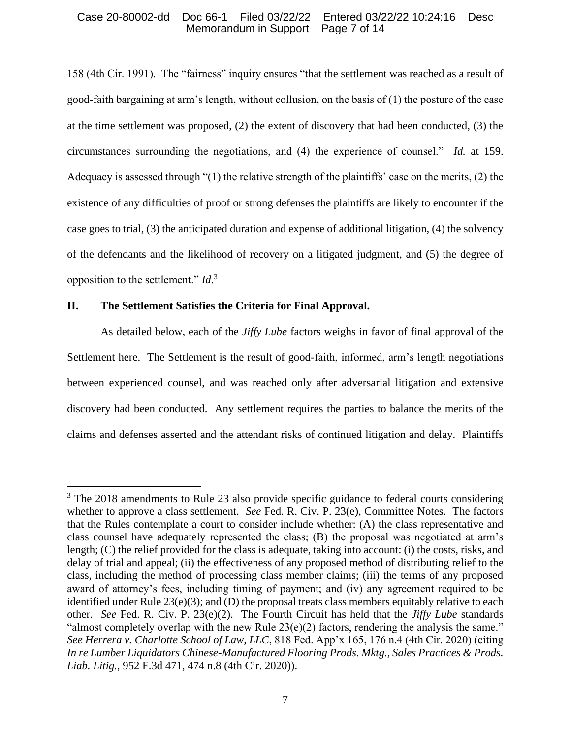158 (4th Cir. 1991). The "fairness" inquiry ensures "that the settlement was reached as a result of good-faith bargaining at arm's length, without collusion, on the basis of (1) the posture of the case at the time settlement was proposed, (2) the extent of discovery that had been conducted, (3) the circumstances surrounding the negotiations, and (4) the experience of counsel." *Id.* at 159. Adequacy is assessed through "(1) the relative strength of the plaintiffs' case on the merits, (2) the existence of any difficulties of proof or strong defenses the plaintiffs are likely to encounter if the case goes to trial, (3) the anticipated duration and expense of additional litigation, (4) the solvency of the defendants and the likelihood of recovery on a litigated judgment, and (5) the degree of opposition to the settlement." *Id*. 3

## **II. The Settlement Satisfies the Criteria for Final Approval.**

As detailed below, each of the *Jiffy Lube* factors weighs in favor of final approval of the Settlement here. The Settlement is the result of good-faith, informed, arm's length negotiations between experienced counsel, and was reached only after adversarial litigation and extensive discovery had been conducted. Any settlement requires the parties to balance the merits of the claims and defenses asserted and the attendant risks of continued litigation and delay. Plaintiffs

 $3$  The 2018 amendments to Rule 23 also provide specific guidance to federal courts considering whether to approve a class settlement. *See* Fed. R. Civ. P. 23(e), Committee Notes. The factors that the Rules contemplate a court to consider include whether: (A) the class representative and class counsel have adequately represented the class; (B) the proposal was negotiated at arm's length; (C) the relief provided for the class is adequate, taking into account: (i) the costs, risks, and delay of trial and appeal; (ii) the effectiveness of any proposed method of distributing relief to the class, including the method of processing class member claims; (iii) the terms of any proposed award of attorney's fees, including timing of payment; and (iv) any agreement required to be identified under Rule 23(e)(3); and (D) the proposal treats class members equitably relative to each other. *See* Fed. R. Civ. P. 23(e)(2). The Fourth Circuit has held that the *Jiffy Lube* standards "almost completely overlap with the new Rule  $23(e)(2)$  factors, rendering the analysis the same." *See Herrera v. Charlotte School of Law, LLC*, 818 Fed. App'x 165, 176 n.4 (4th Cir. 2020) (citing *In re Lumber Liquidators Chinese-Manufactured Flooring Prods. Mktg., Sales Practices & Prods. Liab. Litig.*, 952 F.3d 471, 474 n.8 (4th Cir. 2020)).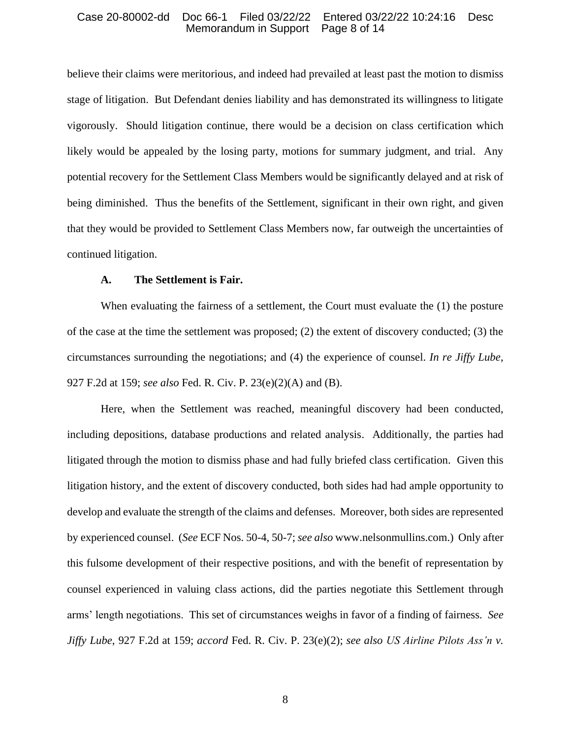believe their claims were meritorious, and indeed had prevailed at least past the motion to dismiss stage of litigation. But Defendant denies liability and has demonstrated its willingness to litigate vigorously. Should litigation continue, there would be a decision on class certification which likely would be appealed by the losing party, motions for summary judgment, and trial. Any potential recovery for the Settlement Class Members would be significantly delayed and at risk of being diminished. Thus the benefits of the Settlement, significant in their own right, and given that they would be provided to Settlement Class Members now, far outweigh the uncertainties of continued litigation.

### **A. The Settlement is Fair.**

When evaluating the fairness of a settlement, the Court must evaluate the (1) the posture of the case at the time the settlement was proposed; (2) the extent of discovery conducted; (3) the circumstances surrounding the negotiations; and (4) the experience of counsel. *In re Jiffy Lube*, 927 F.2d at 159; *see also* Fed. R. Civ. P. 23(e)(2)(A) and (B).

Here, when the Settlement was reached, meaningful discovery had been conducted, including depositions, database productions and related analysis. Additionally, the parties had litigated through the motion to dismiss phase and had fully briefed class certification. Given this litigation history, and the extent of discovery conducted, both sides had had ample opportunity to develop and evaluate the strength of the claims and defenses. Moreover, both sides are represented by experienced counsel. (*See* ECF Nos. 50-4, 50-7; *see also* www.nelsonmullins.com.) Only after this fulsome development of their respective positions, and with the benefit of representation by counsel experienced in valuing class actions, did the parties negotiate this Settlement through arms' length negotiations. This set of circumstances weighs in favor of a finding of fairness. *See Jiffy Lube*, 927 F.2d at 159; *accord* Fed. R. Civ. P. 23(e)(2); *see also US Airline Pilots Ass'n v.*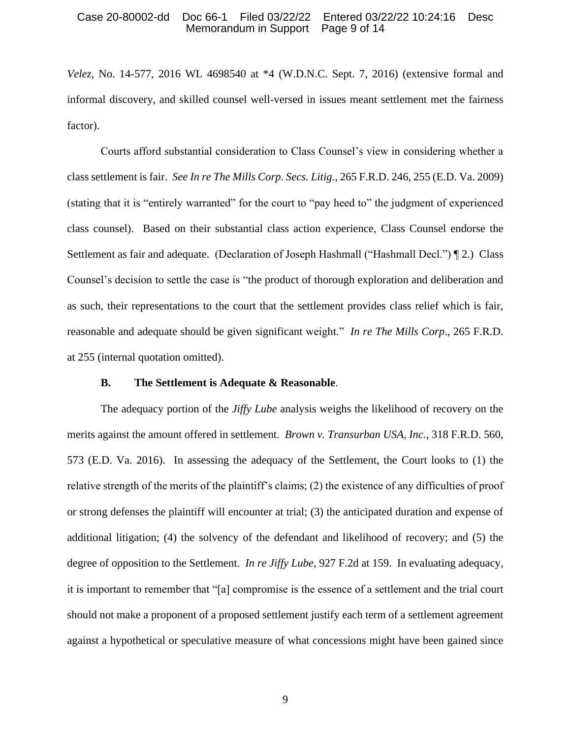*Velez*, No. 14-577, 2016 WL 4698540 at \*4 (W.D.N.C. Sept. 7, 2016) (extensive formal and informal discovery, and skilled counsel well-versed in issues meant settlement met the fairness factor).

Courts afford substantial consideration to Class Counsel's view in considering whether a class settlement is fair. *See In re The Mills Corp*. *Secs. Litig.*, 265 F.R.D. 246, 255 (E.D. Va. 2009) (stating that it is "entirely warranted" for the court to "pay heed to" the judgment of experienced class counsel). Based on their substantial class action experience, Class Counsel endorse the Settlement as fair and adequate. (Declaration of Joseph Hashmall ("Hashmall Decl.") [2.) Class Counsel's decision to settle the case is "the product of thorough exploration and deliberation and as such, their representations to the court that the settlement provides class relief which is fair, reasonable and adequate should be given significant weight." *In re The Mills Corp*., 265 F.R.D. at 255 (internal quotation omitted).

### **B. The Settlement is Adequate & Reasonable**.

The adequacy portion of the *Jiffy Lube* analysis weighs the likelihood of recovery on the merits against the amount offered in settlement. *Brown v. Transurban USA, Inc.*, 318 F.R.D. 560, 573 (E.D. Va. 2016). In assessing the adequacy of the Settlement, the Court looks to (1) the relative strength of the merits of the plaintiff's claims; (2) the existence of any difficulties of proof or strong defenses the plaintiff will encounter at trial; (3) the anticipated duration and expense of additional litigation; (4) the solvency of the defendant and likelihood of recovery; and (5) the degree of opposition to the Settlement. *In re Jiffy Lube*, 927 F.2d at 159. In evaluating adequacy, it is important to remember that "[a] compromise is the essence of a settlement and the trial court should not make a proponent of a proposed settlement justify each term of a settlement agreement against a hypothetical or speculative measure of what concessions might have been gained since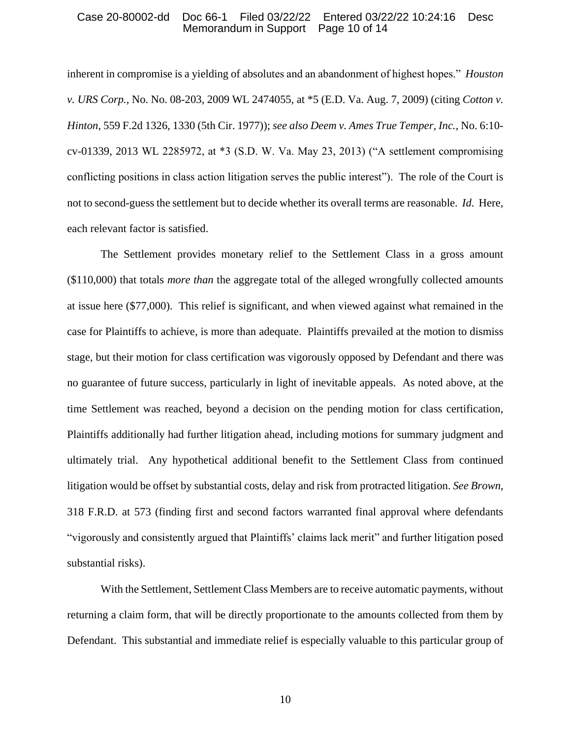inherent in compromise is a yielding of absolutes and an abandonment of highest hopes." *Houston v. URS Corp.*, No. No. 08-203, 2009 WL 2474055, at \*5 (E.D. Va. Aug. 7, 2009) (citing *Cotton v. Hinton*, 559 F.2d 1326, 1330 (5th Cir. 1977)); *see also Deem v. Ames True Temper, Inc.*, No. 6:10 cv-01339, 2013 WL 2285972, at \*3 (S.D. W. Va. May 23, 2013) ("A settlement compromising conflicting positions in class action litigation serves the public interest"). The role of the Court is not to second-guess the settlement but to decide whether its overall terms are reasonable. *Id*. Here, each relevant factor is satisfied.

The Settlement provides monetary relief to the Settlement Class in a gross amount (\$110,000) that totals *more than* the aggregate total of the alleged wrongfully collected amounts at issue here (\$77,000). This relief is significant, and when viewed against what remained in the case for Plaintiffs to achieve, is more than adequate. Plaintiffs prevailed at the motion to dismiss stage, but their motion for class certification was vigorously opposed by Defendant and there was no guarantee of future success, particularly in light of inevitable appeals. As noted above, at the time Settlement was reached, beyond a decision on the pending motion for class certification, Plaintiffs additionally had further litigation ahead, including motions for summary judgment and ultimately trial. Any hypothetical additional benefit to the Settlement Class from continued litigation would be offset by substantial costs, delay and risk from protracted litigation. *See Brown*, 318 F.R.D. at 573 (finding first and second factors warranted final approval where defendants "vigorously and consistently argued that Plaintiffs' claims lack merit" and further litigation posed substantial risks).

With the Settlement, Settlement Class Members are to receive automatic payments, without returning a claim form, that will be directly proportionate to the amounts collected from them by Defendant. This substantial and immediate relief is especially valuable to this particular group of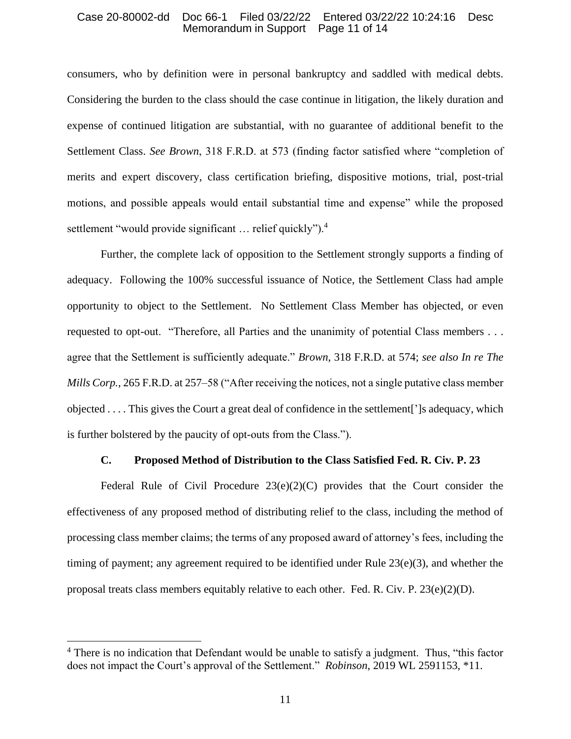consumers, who by definition were in personal bankruptcy and saddled with medical debts. Considering the burden to the class should the case continue in litigation, the likely duration and expense of continued litigation are substantial, with no guarantee of additional benefit to the Settlement Class. *See Brown*, 318 F.R.D. at 573 (finding factor satisfied where "completion of merits and expert discovery, class certification briefing, dispositive motions, trial, post-trial motions, and possible appeals would entail substantial time and expense" while the proposed settlement "would provide significant ... relief quickly").<sup>4</sup>

Further, the complete lack of opposition to the Settlement strongly supports a finding of adequacy. Following the 100% successful issuance of Notice, the Settlement Class had ample opportunity to object to the Settlement. No Settlement Class Member has objected, or even requested to opt-out. "Therefore, all Parties and the unanimity of potential Class members . . . agree that the Settlement is sufficiently adequate." *Brown*, 318 F.R.D. at 574; *see also In re The Mills Corp.*, 265 F.R.D. at 257–58 ("After receiving the notices, not a single putative class member objected . . . . This gives the Court a great deal of confidence in the settlement[']s adequacy, which is further bolstered by the paucity of opt-outs from the Class.").

# **C. Proposed Method of Distribution to the Class Satisfied Fed. R. Civ. P. 23**

Federal Rule of Civil Procedure 23(e)(2)(C) provides that the Court consider the effectiveness of any proposed method of distributing relief to the class, including the method of processing class member claims; the terms of any proposed award of attorney's fees, including the timing of payment; any agreement required to be identified under Rule 23(e)(3), and whether the proposal treats class members equitably relative to each other. Fed. R. Civ. P.  $23(e)(2)(D)$ .

<sup>&</sup>lt;sup>4</sup> There is no indication that Defendant would be unable to satisfy a judgment. Thus, "this factor does not impact the Court's approval of the Settlement." *Robinson*, 2019 WL 2591153, \*11.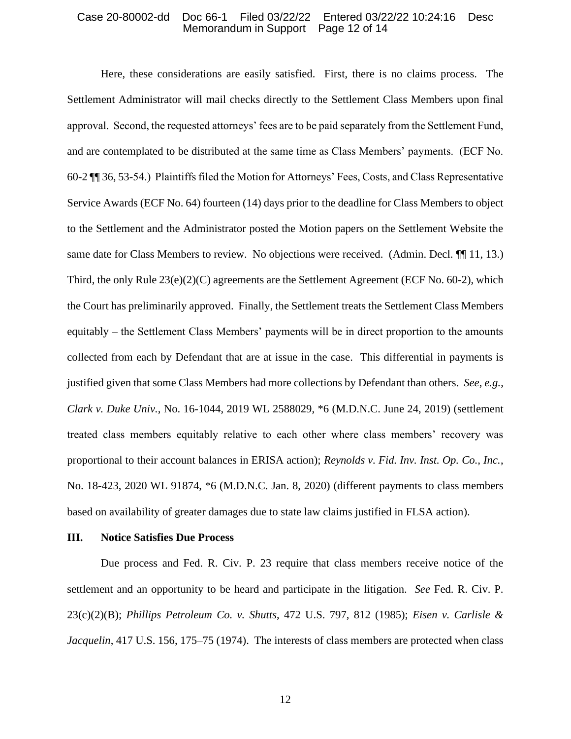Here, these considerations are easily satisfied. First, there is no claims process. The Settlement Administrator will mail checks directly to the Settlement Class Members upon final approval. Second, the requested attorneys' fees are to be paid separately from the Settlement Fund, and are contemplated to be distributed at the same time as Class Members' payments. (ECF No. 60-2 ¶¶ 36, 53-54.) Plaintiffs filed the Motion for Attorneys' Fees, Costs, and Class Representative Service Awards (ECF No. 64) fourteen (14) days prior to the deadline for Class Members to object to the Settlement and the Administrator posted the Motion papers on the Settlement Website the same date for Class Members to review. No objections were received. (Admin. Decl.  $\P$  11, 13.) Third, the only Rule 23(e)(2)(C) agreements are the Settlement Agreement (ECF No. 60-2), which the Court has preliminarily approved. Finally, the Settlement treats the Settlement Class Members equitably – the Settlement Class Members' payments will be in direct proportion to the amounts collected from each by Defendant that are at issue in the case. This differential in payments is justified given that some Class Members had more collections by Defendant than others. *See*, *e.g.*, *Clark v. Duke Univ.*, No. 16-1044, 2019 WL 2588029, \*6 (M.D.N.C. June 24, 2019) (settlement treated class members equitably relative to each other where class members' recovery was proportional to their account balances in ERISA action); *Reynolds v. Fid. Inv. Inst. Op. Co., Inc.*, No. 18-423, 2020 WL 91874, \*6 (M.D.N.C. Jan. 8, 2020) (different payments to class members based on availability of greater damages due to state law claims justified in FLSA action).

#### **III. Notice Satisfies Due Process**

Due process and Fed. R. Civ. P. 23 require that class members receive notice of the settlement and an opportunity to be heard and participate in the litigation. *See* Fed. R. Civ. P. 23(c)(2)(B); *Phillips Petroleum Co. v. Shutts*, 472 U.S. 797, 812 (1985); *Eisen v. Carlisle & Jacquelin*, 417 U.S. 156, 175–75 (1974). The interests of class members are protected when class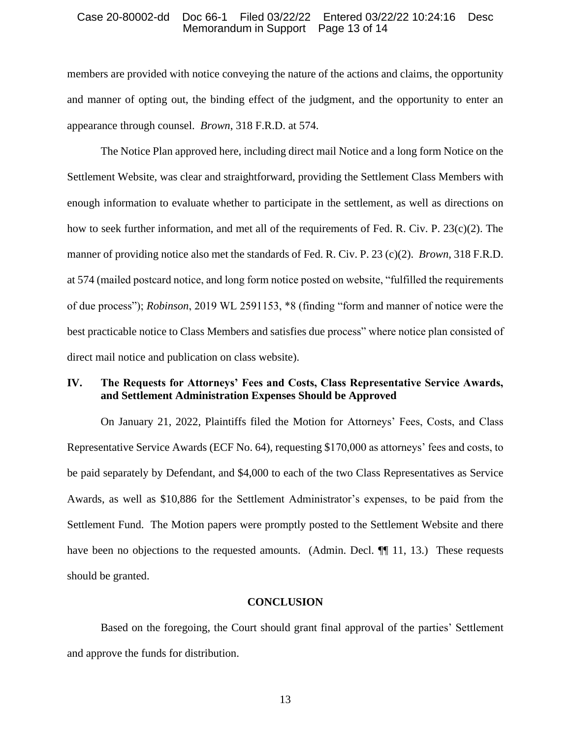members are provided with notice conveying the nature of the actions and claims, the opportunity and manner of opting out, the binding effect of the judgment, and the opportunity to enter an appearance through counsel. *Brown*, 318 F.R.D. at 574.

The Notice Plan approved here, including direct mail Notice and a long form Notice on the Settlement Website, was clear and straightforward, providing the Settlement Class Members with enough information to evaluate whether to participate in the settlement, as well as directions on how to seek further information, and met all of the requirements of Fed. R. Civ. P. 23(c)(2). The manner of providing notice also met the standards of Fed. R. Civ. P. 23 (c)(2). *Brown*, 318 F.R.D. at 574 (mailed postcard notice, and long form notice posted on website, "fulfilled the requirements of due process"); *Robinson*, 2019 WL 2591153, \*8 (finding "form and manner of notice were the best practicable notice to Class Members and satisfies due process" where notice plan consisted of direct mail notice and publication on class website).

## **IV. The Requests for Attorneys' Fees and Costs, Class Representative Service Awards, and Settlement Administration Expenses Should be Approved**

On January 21, 2022, Plaintiffs filed the Motion for Attorneys' Fees, Costs, and Class Representative Service Awards (ECF No. 64), requesting \$170,000 as attorneys' fees and costs, to be paid separately by Defendant, and \$4,000 to each of the two Class Representatives as Service Awards, as well as \$10,886 for the Settlement Administrator's expenses, to be paid from the Settlement Fund. The Motion papers were promptly posted to the Settlement Website and there have been no objections to the requested amounts. (Admin. Decl.  $\P$  11, 13.) These requests should be granted.

### **CONCLUSION**

Based on the foregoing, the Court should grant final approval of the parties' Settlement and approve the funds for distribution.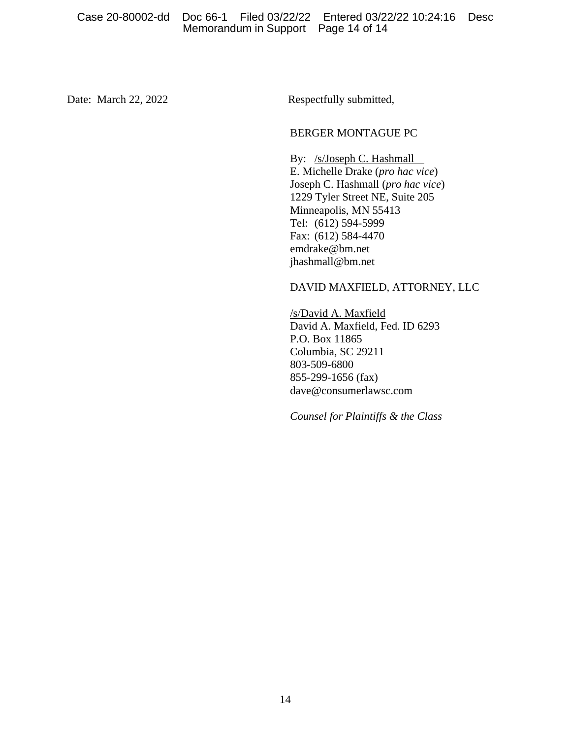Date: March 22, 2022 Respectfully submitted,

## BERGER MONTAGUE PC

By: /s/Joseph C. Hashmall E. Michelle Drake (*pro hac vice*) Joseph C. Hashmall (*pro hac vice*) 1229 Tyler Street NE, Suite 205 Minneapolis, MN 55413 Tel: (612) 594-5999 Fax: (612) 584-4470 emdrake@bm.net jhashmall@bm.net

# DAVID MAXFIELD, ATTORNEY, LLC

/s/David A. Maxfield David A. Maxfield, Fed. ID 6293 P.O. Box 11865 Columbia, SC 29211 803-509-6800 855-299-1656 (fax) dave@consumerlawsc.com

*Counsel for Plaintiffs & the Class*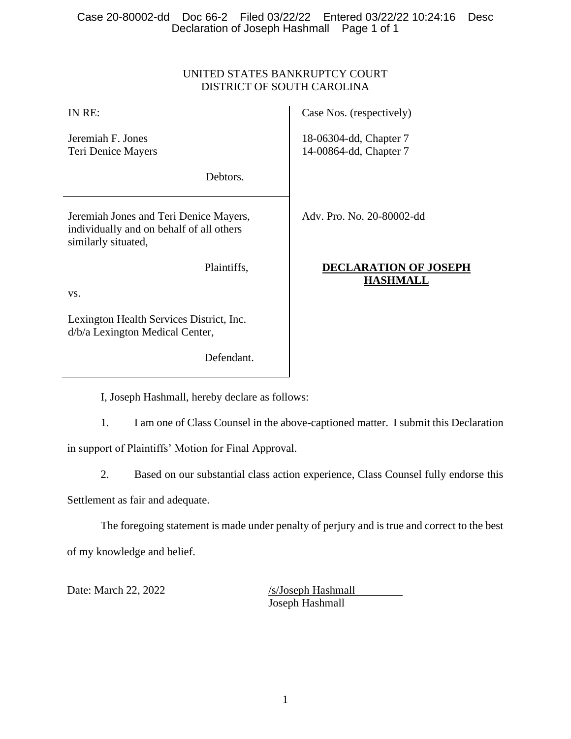# UNITED STATES BANKRUPTCY COURT DISTRICT OF SOUTH CAROLINA

| IN RE:                                                                                                    | Case Nos. (respectively)                         |
|-----------------------------------------------------------------------------------------------------------|--------------------------------------------------|
| Jeremiah F. Jones<br>Teri Denice Mayers                                                                   | 18-06304-dd, Chapter 7<br>14-00864-dd, Chapter 7 |
| Debtors.                                                                                                  |                                                  |
| Jeremiah Jones and Teri Denice Mayers,<br>individually and on behalf of all others<br>similarly situated, | Adv. Pro. No. 20-80002-dd                        |
| Plaintiffs,<br>VS.                                                                                        | DECLARATION OF JOSEPH<br><b>HASHMALL</b>         |
| Lexington Health Services District, Inc.<br>d/b/a Lexington Medical Center,                               |                                                  |

I, Joseph Hashmall, hereby declare as follows:

Defendant.

1. I am one of Class Counsel in the above-captioned matter. I submit this Declaration

in support of Plaintiffs' Motion for Final Approval.

2. Based on our substantial class action experience, Class Counsel fully endorse this

Settlement as fair and adequate.

The foregoing statement is made under penalty of perjury and is true and correct to the best of my knowledge and belief.

Date: March 22, 2022 /s/Joseph Hashmall

Joseph Hashmall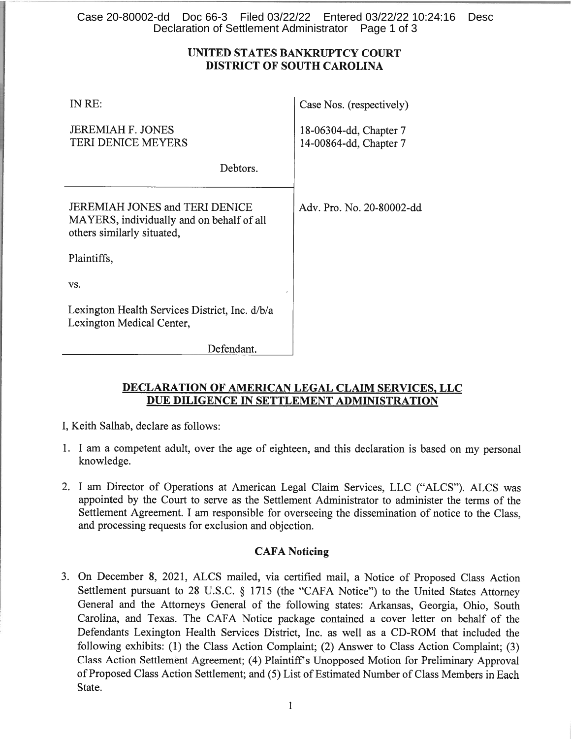# Case 20-80002-dd Doc 66-3 Filed 03/22/22 Entered 03/22/22 10:24:16 Desc Declaration of Settlement Administrator Page 1 of 3

# UNITED STATES BANKRUPTCY COURT **DISTRICT OF SOUTH CAROLINA**

| IN RE:                                                                                                           | Case Nos. (respectively)                         |
|------------------------------------------------------------------------------------------------------------------|--------------------------------------------------|
| <b>JEREMIAH F. JONES</b><br><b>TERI DENICE MEYERS</b>                                                            | 18-06304-dd, Chapter 7<br>14-00864-dd, Chapter 7 |
| Debtors.                                                                                                         |                                                  |
| <b>JEREMIAH JONES and TERI DENICE</b><br>MAYERS, individually and on behalf of all<br>others similarly situated, | Adv. Pro. No. 20-80002-dd                        |
| Plaintiffs,                                                                                                      |                                                  |
| VS.                                                                                                              |                                                  |
| Lexington Health Services District, Inc. d/b/a<br>Lexington Medical Center,                                      |                                                  |
| Defendant                                                                                                        |                                                  |

# **DECLARATION OF AMERICAN LEGAL CLAIM SERVICES, LLC** DUE DILIGENCE IN SETTLEMENT ADMINISTRATION

I, Keith Salhab, declare as follows:

- 1. I am a competent adult, over the age of eighteen, and this declaration is based on my personal knowledge.
- 2. I am Director of Operations at American Legal Claim Services, LLC ("ALCS"). ALCS was appointed by the Court to serve as the Settlement Administrator to administer the terms of the Settlement Agreement. I am responsible for overseeing the dissemination of notice to the Class, and processing requests for exclusion and objection.

# **CAFA Noticing**

3. On December 8, 2021, ALCS mailed, via certified mail, a Notice of Proposed Class Action Settlement pursuant to 28 U.S.C. § 1715 (the "CAFA Notice") to the United States Attorney General and the Attorneys General of the following states: Arkansas, Georgia, Ohio, South Carolina, and Texas. The CAFA Notice package contained a cover letter on behalf of the Defendants Lexington Health Services District, Inc. as well as a CD-ROM that included the following exhibits: (1) the Class Action Complaint; (2) Answer to Class Action Complaint; (3) Class Action Settlement Agreement; (4) Plaintiff's Unopposed Motion for Preliminary Approval of Proposed Class Action Settlement; and (5) List of Estimated Number of Class Members in Each State.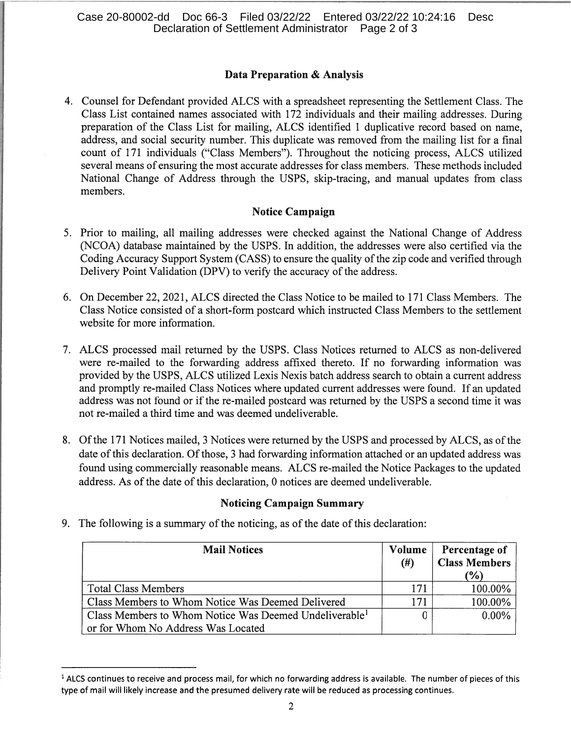# Data Preparation & Analysis

4. Counsel for Defendant provided ALCS with a spreadsheet representing the Settlement Class. The Class List contained names associated with 172 individuals and their mailing addresses. During preparation of the Class List for mailing, ALCS identified 1 duplicative record based on name, address, and social security number. This duplicate was removed from the mailing list for a final count of 171 individuals ("Class Members"). Throughout the noticing process, ALCS utilized several means of ensuring the most accurate addresses for class members. These methods included National Change of Address through the USPS, skip-tracing, and manual updates from class members.

# **Notice Campaign**

- 5. Prior to mailing, all mailing addresses were checked against the National Change of Address (NCOA) database maintained by the USPS. In addition, the addresses were also certified via the Coding Accuracy Support System (CASS) to ensure the quality of the zip code and verified through Delivery Point Validation (DPV) to verify the accuracy of the address.
- 6. On December 22, 2021, ALCS directed the Class Notice to be mailed to 171 Class Members. The Class Notice consisted of a short-form postcard which instructed Class Members to the settlement website for more information.
- 7. ALCS processed mail returned by the USPS. Class Notices returned to ALCS as non-delivered were re-mailed to the forwarding address affixed thereto. If no forwarding information was provided by the USPS, ALCS utilized Lexis Nexis batch address search to obtain a current address and promptly re-mailed Class Notices where updated current addresses were found. If an updated address was not found or if the re-mailed postcard was returned by the USPS a second time it was not re-mailed a third time and was deemed undeliverable.
- 8. Of the 171 Notices mailed, 3 Notices were returned by the USPS and processed by ALCS, as of the date of this declaration. Of those, 3 had forwarding information attached or an updated address was found using commercially reasonable means. ALCS re-mailed the Notice Packages to the updated address. As of the date of this declaration, 0 notices are deemed undeliverable.

# **Noticing Campaign Summary**

9. The following is a summary of the noticing, as of the date of this declaration:

| <b>Mail Notices</b>                                                |          | Percentage of<br><b>Class Members</b> |
|--------------------------------------------------------------------|----------|---------------------------------------|
|                                                                    | $^{(#)}$ | $(\%)$                                |
| <b>Total Class Members</b>                                         | 171      | 100.00%                               |
| Class Members to Whom Notice Was Deemed Delivered                  | 171      | 100.00%                               |
| Class Members to Whom Notice Was Deemed Undeliverable <sup>1</sup> |          | $0.00\%$                              |
| or for Whom No Address Was Located                                 |          |                                       |

 $<sup>1</sup>$  ALCS continues to receive and process mail, for which no forwarding address is available. The number of pieces of this</sup> type of mail will likely increase and the presumed delivery rate will be reduced as processing continues.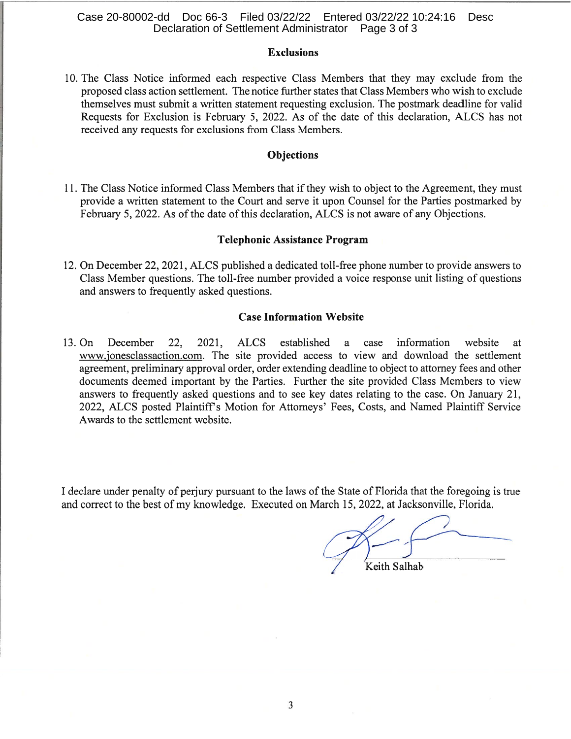## Case 20-80002-dd Doc 66-3 Filed 03/22/22 Entered 03/22/22 10:24:16 Desc Declaration of Settlement Administrator Page 3 of 3

## **Exclusions**

10. The Class Notice informed each respective Class Members that they may exclude from the proposed class action settlement. The notice further states that Class Members who wish to exclude themselves must submit a written statement requesting exclusion. The postmark deadline for valid Requests for Exclusion is February 5, 2022. As of the date of this declaration, ALCS has not received any requests for exclusions from Class Members.

## **Objections**

11. The Class Notice informed Class Members that if they wish to object to the Agreement, they must provide a written statement to the Court and serve it upon Counsel for the Parties postmarked by February 5, 2022. As of the date of this declaration, ALCS is not aware of any Objections.

### **Telephonic Assistance Program**

12. On December 22, 2021, ALCS published a dedicated toll-free phone number to provide answers to Class Member questions. The toll-free number provided a voice response unit listing of questions and answers to frequently asked questions.

#### **Case Information Website**

 $13.$  On December 22. 2021, **ALCS** established a case information website at. www.jonesclassaction.com. The site provided access to view and download the settlement agreement, preliminary approval order, order extending deadline to object to attorney fees and other documents deemed important by the Parties. Further the site provided Class Members to view answers to frequently asked questions and to see key dates relating to the case. On January 21, 2022, ALCS posted Plaintiff's Motion for Attorneys' Fees, Costs, and Named Plaintiff Service Awards to the settlement website.

I declare under penalty of perjury pursuant to the laws of the State of Florida that the foregoing is true and correct to the best of my knowledge. Executed on March 15, 2022, at Jacksonville, Florida.

Keith Salhab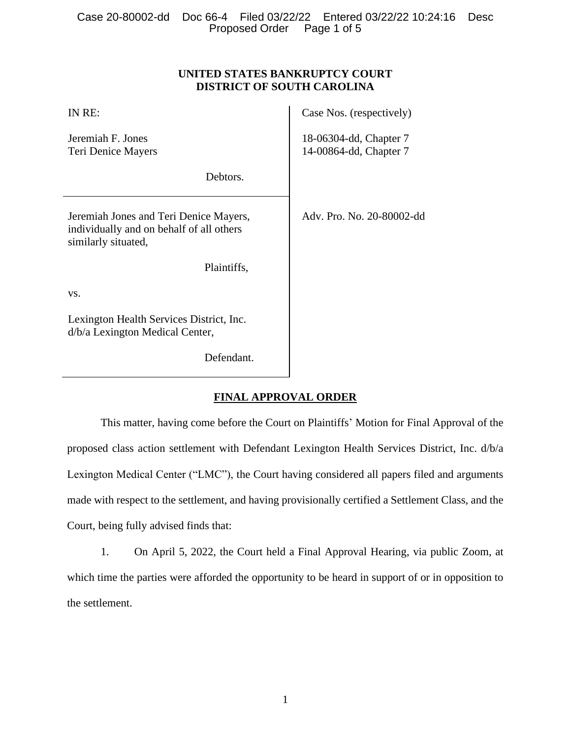# **UNITED STATES BANKRUPTCY COURT DISTRICT OF SOUTH CAROLINA**

| IN RE:                                                                                                    | Case Nos. (respectively)                         |
|-----------------------------------------------------------------------------------------------------------|--------------------------------------------------|
| Jeremiah F. Jones<br>Teri Denice Mayers                                                                   | 18-06304-dd, Chapter 7<br>14-00864-dd, Chapter 7 |
| Debtors.                                                                                                  |                                                  |
| Jeremiah Jones and Teri Denice Mayers,<br>individually and on behalf of all others<br>similarly situated, | Adv. Pro. No. 20-80002-dd                        |
| Plaintiffs,                                                                                               |                                                  |
| VS.                                                                                                       |                                                  |
| Lexington Health Services District, Inc.<br>d/b/a Lexington Medical Center,                               |                                                  |
| Defendant.                                                                                                |                                                  |

# **FINAL APPROVAL ORDER**

This matter, having come before the Court on Plaintiffs' Motion for Final Approval of the proposed class action settlement with Defendant Lexington Health Services District, Inc. d/b/a Lexington Medical Center ("LMC"), the Court having considered all papers filed and arguments made with respect to the settlement, and having provisionally certified a Settlement Class, and the Court, being fully advised finds that:

1. On April 5, 2022, the Court held a Final Approval Hearing, via public Zoom, at which time the parties were afforded the opportunity to be heard in support of or in opposition to the settlement.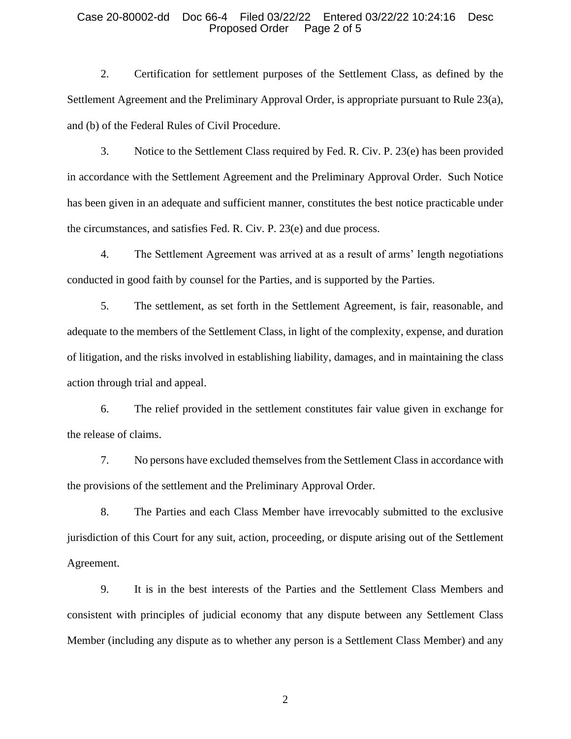2. Certification for settlement purposes of the Settlement Class, as defined by the Settlement Agreement and the Preliminary Approval Order, is appropriate pursuant to Rule 23(a), and (b) of the Federal Rules of Civil Procedure.

3. Notice to the Settlement Class required by Fed. R. Civ. P. 23(e) has been provided in accordance with the Settlement Agreement and the Preliminary Approval Order. Such Notice has been given in an adequate and sufficient manner, constitutes the best notice practicable under the circumstances, and satisfies Fed. R. Civ. P. 23(e) and due process.

4. The Settlement Agreement was arrived at as a result of arms' length negotiations conducted in good faith by counsel for the Parties, and is supported by the Parties.

5. The settlement, as set forth in the Settlement Agreement, is fair, reasonable, and adequate to the members of the Settlement Class, in light of the complexity, expense, and duration of litigation, and the risks involved in establishing liability, damages, and in maintaining the class action through trial and appeal.

6. The relief provided in the settlement constitutes fair value given in exchange for the release of claims.

7. No persons have excluded themselves from the Settlement Class in accordance with the provisions of the settlement and the Preliminary Approval Order.

8. The Parties and each Class Member have irrevocably submitted to the exclusive jurisdiction of this Court for any suit, action, proceeding, or dispute arising out of the Settlement Agreement.

9. It is in the best interests of the Parties and the Settlement Class Members and consistent with principles of judicial economy that any dispute between any Settlement Class Member (including any dispute as to whether any person is a Settlement Class Member) and any

2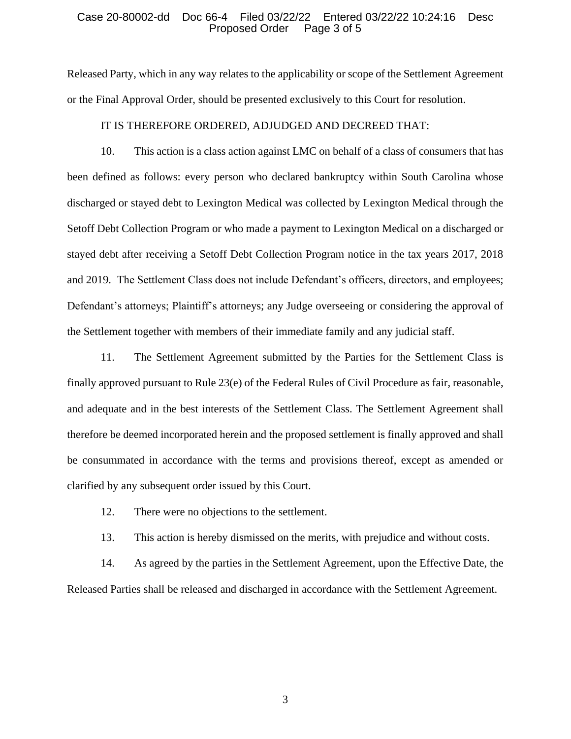Released Party, which in any way relates to the applicability or scope of the Settlement Agreement or the Final Approval Order, should be presented exclusively to this Court for resolution.

### IT IS THEREFORE ORDERED, ADJUDGED AND DECREED THAT:

10. This action is a class action against LMC on behalf of a class of consumers that has been defined as follows: every person who declared bankruptcy within South Carolina whose discharged or stayed debt to Lexington Medical was collected by Lexington Medical through the Setoff Debt Collection Program or who made a payment to Lexington Medical on a discharged or stayed debt after receiving a Setoff Debt Collection Program notice in the tax years 2017, 2018 and 2019. The Settlement Class does not include Defendant's officers, directors, and employees; Defendant's attorneys; Plaintiff's attorneys; any Judge overseeing or considering the approval of the Settlement together with members of their immediate family and any judicial staff.

11. The Settlement Agreement submitted by the Parties for the Settlement Class is finally approved pursuant to Rule 23(e) of the Federal Rules of Civil Procedure as fair, reasonable, and adequate and in the best interests of the Settlement Class. The Settlement Agreement shall therefore be deemed incorporated herein and the proposed settlement is finally approved and shall be consummated in accordance with the terms and provisions thereof, except as amended or clarified by any subsequent order issued by this Court.

- 12. There were no objections to the settlement.
- 13. This action is hereby dismissed on the merits, with prejudice and without costs.

14. As agreed by the parties in the Settlement Agreement, upon the Effective Date, the Released Parties shall be released and discharged in accordance with the Settlement Agreement.

3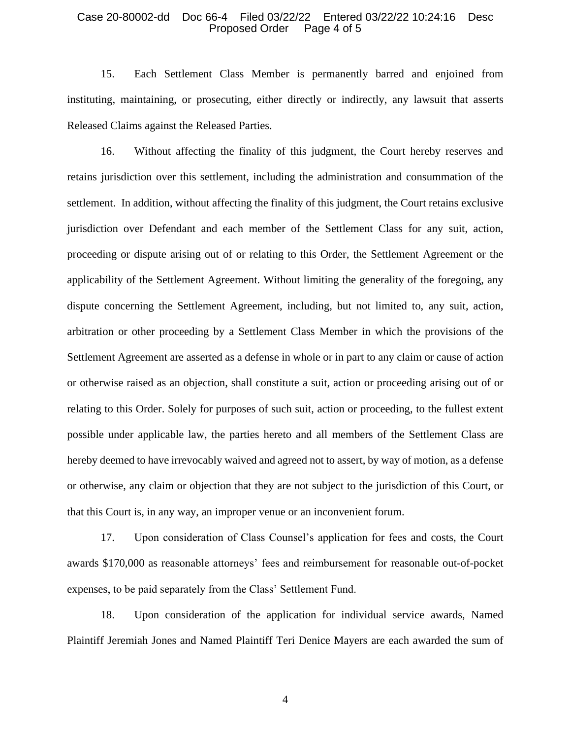15. Each Settlement Class Member is permanently barred and enjoined from instituting, maintaining, or prosecuting, either directly or indirectly, any lawsuit that asserts Released Claims against the Released Parties.

16. Without affecting the finality of this judgment, the Court hereby reserves and retains jurisdiction over this settlement, including the administration and consummation of the settlement. In addition, without affecting the finality of this judgment, the Court retains exclusive jurisdiction over Defendant and each member of the Settlement Class for any suit, action, proceeding or dispute arising out of or relating to this Order, the Settlement Agreement or the applicability of the Settlement Agreement. Without limiting the generality of the foregoing, any dispute concerning the Settlement Agreement, including, but not limited to, any suit, action, arbitration or other proceeding by a Settlement Class Member in which the provisions of the Settlement Agreement are asserted as a defense in whole or in part to any claim or cause of action or otherwise raised as an objection, shall constitute a suit, action or proceeding arising out of or relating to this Order. Solely for purposes of such suit, action or proceeding, to the fullest extent possible under applicable law, the parties hereto and all members of the Settlement Class are hereby deemed to have irrevocably waived and agreed not to assert, by way of motion, as a defense or otherwise, any claim or objection that they are not subject to the jurisdiction of this Court, or that this Court is, in any way, an improper venue or an inconvenient forum.

17. Upon consideration of Class Counsel's application for fees and costs, the Court awards \$170,000 as reasonable attorneys' fees and reimbursement for reasonable out-of-pocket expenses, to be paid separately from the Class' Settlement Fund.

18. Upon consideration of the application for individual service awards, Named Plaintiff Jeremiah Jones and Named Plaintiff Teri Denice Mayers are each awarded the sum of

4